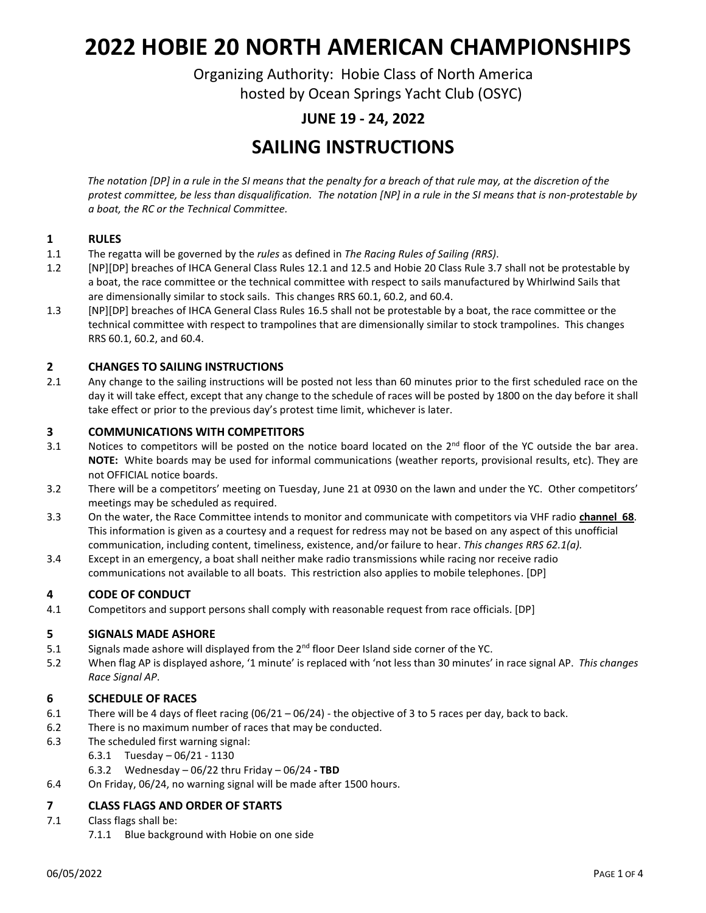# **2022 HOBIE 20 NORTH AMERICAN CHAMPIONSHIPS**

Organizing Authority: Hobie Class of North America hosted by Ocean Springs Yacht Club (OSYC)

### **JUNE 19 - 24, 2022**

### **SAILING INSTRUCTIONS**

*The notation [DP] in a rule in the SI means that the penalty for a breach of that rule may, at the discretion of the protest committee, be less than disqualification. The notation [NP] in a rule in the SI means that is non-protestable by a boat, the RC or the Technical Committee.*

#### **1 RULES**

- 1.1 The regatta will be governed by the *rules* as defined in *The Racing Rules of Sailing (RRS)*.
- 1.2 [NP][DP] breaches of IHCA General Class Rules 12.1 and 12.5 and Hobie 20 Class Rule 3.7 shall not be protestable by a boat, the race committee or the technical committee with respect to sails manufactured by Whirlwind Sails that are dimensionally similar to stock sails. This changes RRS 60.1, 60.2, and 60.4.
- 1.3 [NP][DP] breaches of IHCA General Class Rules 16.5 shall not be protestable by a boat, the race committee or the technical committee with respect to trampolines that are dimensionally similar to stock trampolines. This changes RRS 60.1, 60.2, and 60.4.

#### **2 CHANGES TO SAILING INSTRUCTIONS**

2.1 Any change to the sailing instructions will be posted not less than 60 minutes prior to the first scheduled race on the day it will take effect, except that any change to the schedule of races will be posted by 1800 on the day before it shall take effect or prior to the previous day's protest time limit, whichever is later.

#### **3 COMMUNICATIONS WITH COMPETITORS**

- 3.1 Notices to competitors will be posted on the notice board located on the  $2^{nd}$  floor of the YC outside the bar area. **NOTE:** White boards may be used for informal communications (weather reports, provisional results, etc). They are not OFFICIAL notice boards.
- 3.2 There will be a competitors' meeting on Tuesday, June 21 at 0930 on the lawn and under the YC. Other competitors' meetings may be scheduled as required.
- 3.3 On the water, the Race Committee intends to monitor and communicate with competitors via VHF radio **channel 68**. This information is given as a courtesy and a request for redress may not be based on any aspect of this unofficial communication, including content, timeliness, existence, and/or failure to hear. *This changes RRS 62.1(a).*
- 3.4 Except in an emergency, a boat shall neither make radio transmissions while racing nor receive radio communications not available to all boats. This restriction also applies to mobile telephones. [DP]

#### **4 CODE OF CONDUCT**

4.1 Competitors and support persons shall comply with reasonable request from race officials. [DP]

#### **5 SIGNALS MADE ASHORE**

- 5.1 Signals made ashore will displayed from the  $2<sup>nd</sup>$  floor Deer Island side corner of the YC.
- 5.2 When flag AP is displayed ashore, '1 minute' is replaced with 'not less than 30 minutes' in race signal AP. *This changes Race Signal AP*.

#### **6 SCHEDULE OF RACES**

- 6.1 There will be 4 days of fleet racing (06/21 06/24) the objective of 3 to 5 races per day, back to back.
- 6.2 There is no maximum number of races that may be conducted.
- 6.3 The scheduled first warning signal:
	- 6.3.1 Tuesday 06/21 1130
	- 6.3.2 Wednesday 06/22 thru Friday 06/24 **- TBD**
- 6.4 On Friday, 06/24, no warning signal will be made after 1500 hours.

#### **7 CLASS FLAGS AND ORDER OF STARTS**

- 7.1 Class flags shall be:
	- 7.1.1 Blue background with Hobie on one side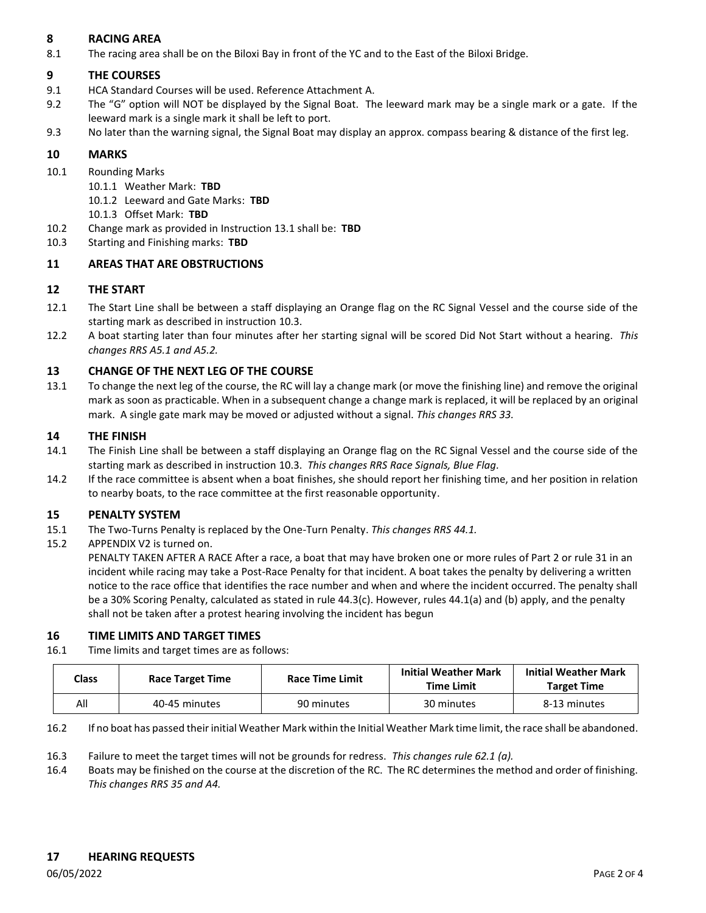#### **8 RACING AREA**

8.1 The racing area shall be on the Biloxi Bay in front of the YC and to the East of the Biloxi Bridge.

#### **9 THE COURSES**

- 9.1 HCA Standard Courses will be used. Reference Attachment A.
- 9.2 The "G" option will NOT be displayed by the Signal Boat. The leeward mark may be a single mark or a gate. If the leeward mark is a single mark it shall be left to port.
- 9.3 No later than the warning signal, the Signal Boat may display an approx. compass bearing & distance of the first leg.

#### **10 MARKS**

- 10.1 Rounding Marks
	- 10.1.1 Weather Mark: **TBD**
	- 10.1.2 Leeward and Gate Marks: **TBD**
	- 10.1.3 Offset Mark: **TBD**
- 10.2 Change mark as provided in Instruction 13.1 shall be: **TBD**
- 10.3 Starting and Finishing marks: **TBD**

#### **11 AREAS THAT ARE OBSTRUCTIONS**

#### **12 THE START**

- 12.1 The Start Line shall be between a staff displaying an Orange flag on the RC Signal Vessel and the course side of the starting mark as described in instruction 10.3.
- 12.2 A boat starting later than four minutes after her starting signal will be scored Did Not Start without a hearing. *This changes RRS A5.1 and A5.2.*

#### **13 CHANGE OF THE NEXT LEG OF THE COURSE**

13.1 To change the next leg of the course, the RC will lay a change mark (or move the finishing line) and remove the original mark as soon as practicable. When in a subsequent change a change mark is replaced, it will be replaced by an original mark. A single gate mark may be moved or adjusted without a signal. *This changes RRS 33.*

#### **14 THE FINISH**

- 14.1 The Finish Line shall be between a staff displaying an Orange flag on the RC Signal Vessel and the course side of the starting mark as described in instruction 10.3. *This changes RRS Race Signals, Blue Flag.*
- 14.2 If the race committee is absent when a boat finishes, she should report her finishing time, and her position in relation to nearby boats, to the race committee at the first reasonable opportunity.

#### **15 PENALTY SYSTEM**

- 15.1 The Two-Turns Penalty is replaced by the One-Turn Penalty. *This changes RRS 44.1.*
- 15.2 APPENDIX V2 is turned on.

PENALTY TAKEN AFTER A RACE After a race, a boat that may have broken one or more rules of Part 2 or rule 31 in an incident while racing may take a Post-Race Penalty for that incident. A boat takes the penalty by delivering a written notice to the race office that identifies the race number and when and where the incident occurred. The penalty shall be a 30% Scoring Penalty, calculated as stated in rule 44.3(c). However, rules 44.1(a) and (b) apply, and the penalty shall not be taken after a protest hearing involving the incident has begun

#### **16 TIME LIMITS AND TARGET TIMES**

16.1 Time limits and target times are as follows:

| Class | <b>Race Target Time</b> | <b>Race Time Limit</b> | <b>Initial Weather Mark</b><br>Time Limit | <b>Initial Weather Mark</b><br><b>Target Time</b> |
|-------|-------------------------|------------------------|-------------------------------------------|---------------------------------------------------|
| All   | 40-45 minutes           | 90 minutes             | 30 minutes                                | 8-13 minutes                                      |

- 16.2 If no boat has passed their initial Weather Mark within the Initial Weather Mark time limit, the race shall be abandoned.
- 16.3 Failure to meet the target times will not be grounds for redress. *This changes rule 62.1 (a).*
- 16.4 Boats may be finished on the course at the discretion of the RC. The RC determines the method and order of finishing. *This changes RRS 35 and A4.*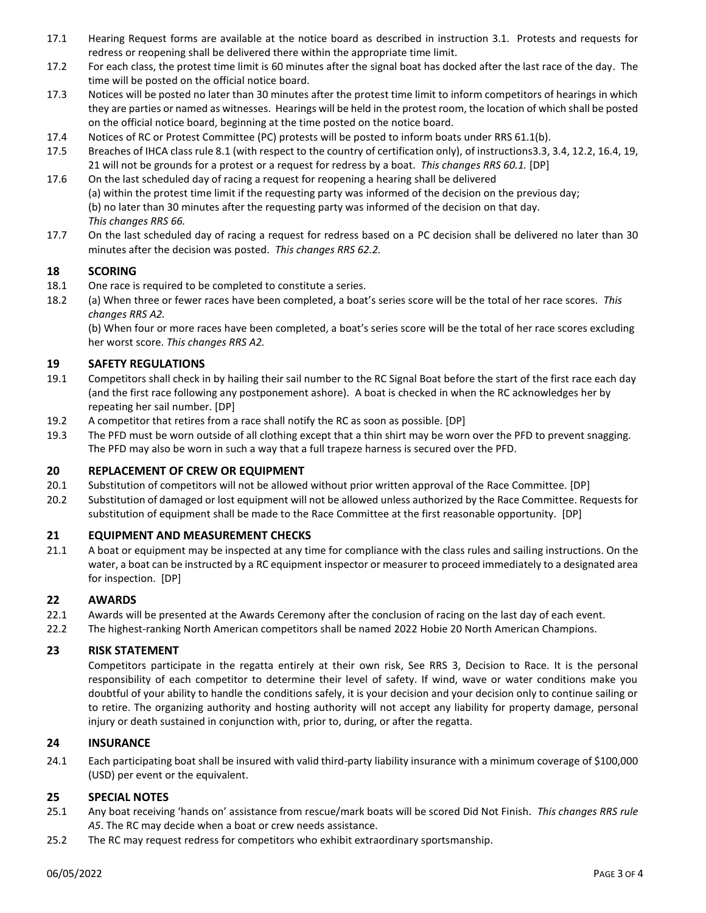- 17.1 Hearing Request forms are available at the notice board as described in instruction 3.1. Protests and requests for redress or reopening shall be delivered there within the appropriate time limit.
- 17.2 For each class, the protest time limit is 60 minutes after the signal boat has docked after the last race of the day. The time will be posted on the official notice board.
- 17.3 Notices will be posted no later than 30 minutes after the protest time limit to inform competitors of hearings in which they are parties or named as witnesses. Hearings will be held in the protest room, the location of which shall be posted on the official notice board, beginning at the time posted on the notice board.
- 17.4 Notices of RC or Protest Committee (PC) protests will be posted to inform boats under RRS 61.1(b).
- 17.5 Breaches of IHCA class rule 8.1 (with respect to the country of certification only), of instructions3.3, 3.4, 12.2, 16.4, 19, 21 will not be grounds for a protest or a request for redress by a boat. *This changes RRS 60.1.* [DP]
- 17.6 On the last scheduled day of racing a request for reopening a hearing shall be delivered (a) within the protest time limit if the requesting party was informed of the decision on the previous day; (b) no later than 30 minutes after the requesting party was informed of the decision on that day. *This changes RRS 66.*
- 17.7 On the last scheduled day of racing a request for redress based on a PC decision shall be delivered no later than 30 minutes after the decision was posted. *This changes RRS 62.2.*

#### **18 SCORING**

- 18.1 One race is required to be completed to constitute a series.
- 18.2 (a) When three or fewer races have been completed, a boat's series score will be the total of her race scores. *This changes RRS A2.*

(b) When four or more races have been completed, a boat's series score will be the total of her race scores excluding her worst score. *This changes RRS A2.*

#### **19 SAFETY REGULATIONS**

- 19.1 Competitors shall check in by hailing their sail number to the RC Signal Boat before the start of the first race each day (and the first race following any postponement ashore). A boat is checked in when the RC acknowledges her by repeating her sail number. [DP]
- 19.2 A competitor that retires from a race shall notify the RC as soon as possible. [DP]
- 19.3 The PFD must be worn outside of all clothing except that a thin shirt may be worn over the PFD to prevent snagging. The PFD may also be worn in such a way that a full trapeze harness is secured over the PFD.

#### **20 REPLACEMENT OF CREW OR EQUIPMENT**

- 20.1 Substitution of competitors will not be allowed without prior written approval of the Race Committee. [DP]
- 20.2 Substitution of damaged or lost equipment will not be allowed unless authorized by the Race Committee. Requests for substitution of equipment shall be made to the Race Committee at the first reasonable opportunity. [DP]

#### **21 EQUIPMENT AND MEASUREMENT CHECKS**

21.1 A boat or equipment may be inspected at any time for compliance with the class rules and sailing instructions. On the water, a boat can be instructed by a RC equipment inspector or measurer to proceed immediately to a designated area for inspection. [DP]

#### **22 AWARDS**

- 22.1 Awards will be presented at the Awards Ceremony after the conclusion of racing on the last day of each event.
- 22.2 The highest-ranking North American competitors shall be named 2022 Hobie 20 North American Champions.

#### **23 RISK STATEMENT**

Competitors participate in the regatta entirely at their own risk, See RRS 3, Decision to Race. It is the personal responsibility of each competitor to determine their level of safety. If wind, wave or water conditions make you doubtful of your ability to handle the conditions safely, it is your decision and your decision only to continue sailing or to retire. The organizing authority and hosting authority will not accept any liability for property damage, personal injury or death sustained in conjunction with, prior to, during, or after the regatta.

#### **24 INSURANCE**

24.1 Each participating boat shall be insured with valid third-party liability insurance with a minimum coverage of \$100,000 (USD) per event or the equivalent.

#### **25 SPECIAL NOTES**

- 25.1 Any boat receiving 'hands on' assistance from rescue/mark boats will be scored Did Not Finish. *This changes RRS rule A5*. The RC may decide when a boat or crew needs assistance.
- 25.2 The RC may request redress for competitors who exhibit extraordinary sportsmanship.